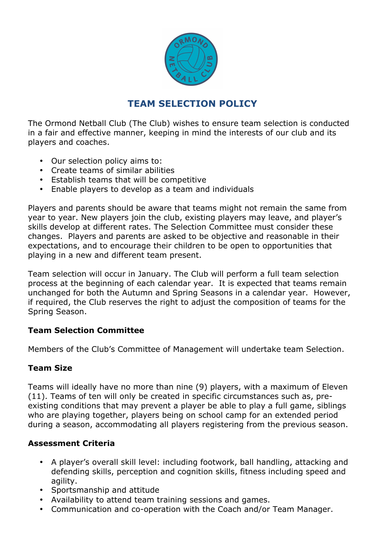

# **TEAM SELECTION POLICY**

The Ormond Netball Club (The Club) wishes to ensure team selection is conducted in a fair and effective manner, keeping in mind the interests of our club and its players and coaches.

- Our selection policy aims to:
- Create teams of similar abilities
- Establish teams that will be competitive
- Enable players to develop as a team and individuals

Players and parents should be aware that teams might not remain the same from year to year. New players join the club, existing players may leave, and player's skills develop at different rates. The Selection Committee must consider these changes. Players and parents are asked to be objective and reasonable in their expectations, and to encourage their children to be open to opportunities that playing in a new and different team present.

Team selection will occur in January. The Club will perform a full team selection process at the beginning of each calendar year. It is expected that teams remain unchanged for both the Autumn and Spring Seasons in a calendar year. However, if required, the Club reserves the right to adjust the composition of teams for the Spring Season.

## **Team Selection Committee**

Members of the Club's Committee of Management will undertake team Selection.

## **Team Size**

Teams will ideally have no more than nine (9) players, with a maximum of Eleven (11). Teams of ten will only be created in specific circumstances such as, preexisting conditions that may prevent a player be able to play a full game, siblings who are playing together, players being on school camp for an extended period during a season, accommodating all players registering from the previous season.

#### **Assessment Criteria**

- A player's overall skill level: including footwork, ball handling, attacking and defending skills, perception and cognition skills, fitness including speed and agility.
- Sportsmanship and attitude
- Availability to attend team training sessions and games.
- Communication and co-operation with the Coach and/or Team Manager.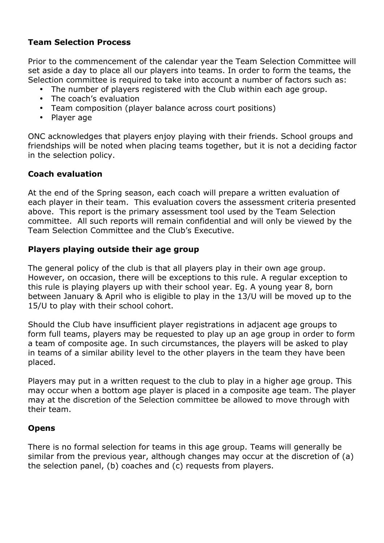## **Team Selection Process**

Prior to the commencement of the calendar year the Team Selection Committee will set aside a day to place all our players into teams. In order to form the teams, the Selection committee is required to take into account a number of factors such as:

- The number of players registered with the Club within each age group.
- The coach's evaluation
- Team composition (player balance across court positions)
- Player age

ONC acknowledges that players enjoy playing with their friends. School groups and friendships will be noted when placing teams together, but it is not a deciding factor in the selection policy.

## **Coach evaluation**

At the end of the Spring season, each coach will prepare a written evaluation of each player in their team. This evaluation covers the assessment criteria presented above. This report is the primary assessment tool used by the Team Selection committee. All such reports will remain confidential and will only be viewed by the Team Selection Committee and the Club's Executive.

## **Players playing outside their age group**

The general policy of the club is that all players play in their own age group. However, on occasion, there will be exceptions to this rule. A regular exception to this rule is playing players up with their school year. Eg. A young year 8, born between January & April who is eligible to play in the 13/U will be moved up to the 15/U to play with their school cohort.

Should the Club have insufficient player registrations in adjacent age groups to form full teams, players may be requested to play up an age group in order to form a team of composite age. In such circumstances, the players will be asked to play in teams of a similar ability level to the other players in the team they have been placed.

Players may put in a written request to the club to play in a higher age group. This may occur when a bottom age player is placed in a composite age team. The player may at the discretion of the Selection committee be allowed to move through with their team.

## **Opens**

There is no formal selection for teams in this age group. Teams will generally be similar from the previous year, although changes may occur at the discretion of (a) the selection panel, (b) coaches and (c) requests from players.